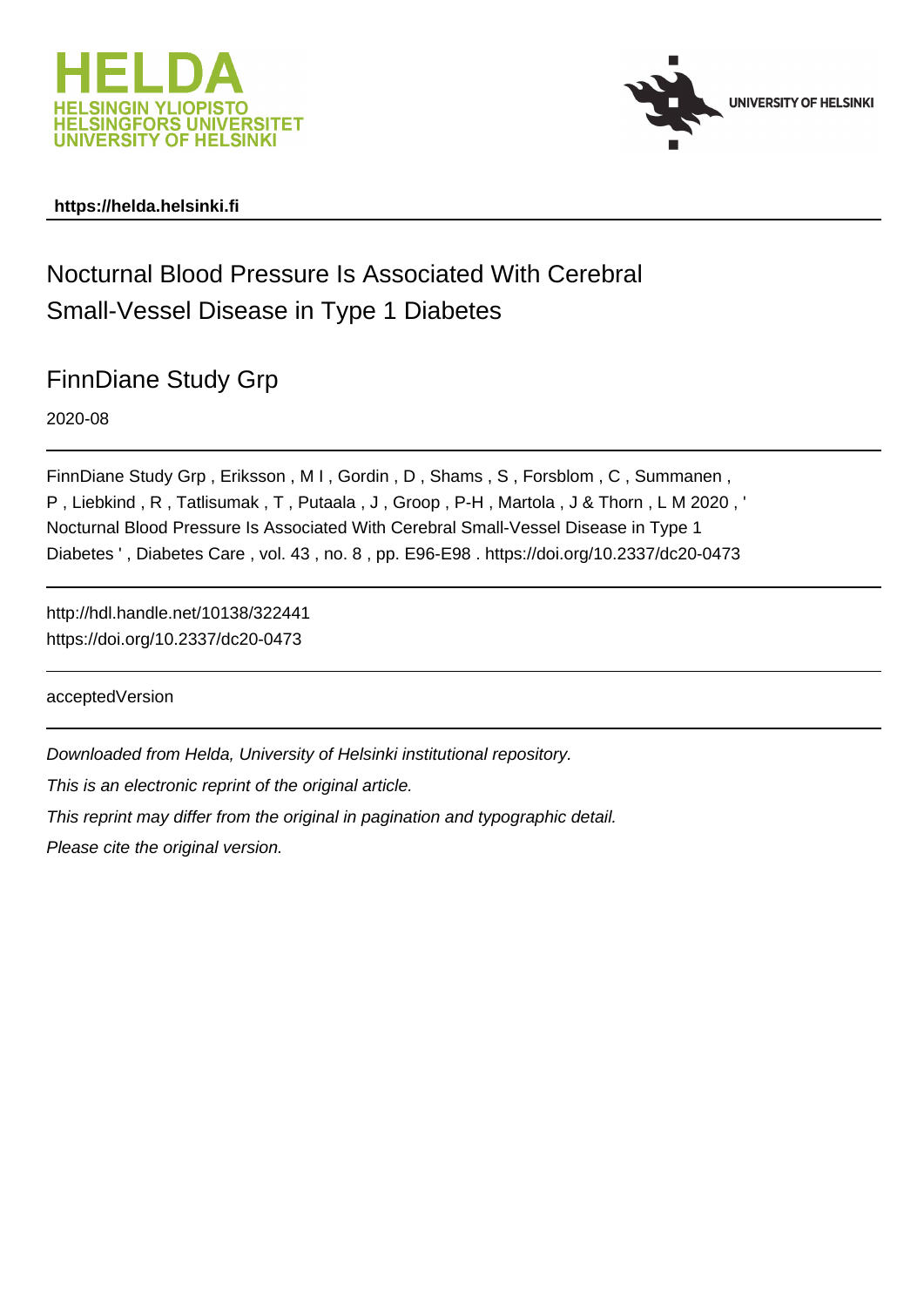



### **https://helda.helsinki.fi**

# Nocturnal Blood Pressure Is Associated With Cerebral Small-Vessel Disease in Type 1 Diabetes

## FinnDiane Study Grp

2020-08

FinnDiane Study Grp , Eriksson , M I , Gordin , D , Shams , S , Forsblom , C , Summanen , P , Liebkind , R , Tatlisumak , T , Putaala , J , Groop , P-H , Martola , J & Thorn , L M 2020 , ' Nocturnal Blood Pressure Is Associated With Cerebral Small-Vessel Disease in Type 1 Diabetes ' , Diabetes Care , vol. 43 , no. 8 , pp. E96-E98 . https://doi.org/10.2337/dc20-0473

http://hdl.handle.net/10138/322441 https://doi.org/10.2337/dc20-0473

acceptedVersion

Downloaded from Helda, University of Helsinki institutional repository.

This is an electronic reprint of the original article.

This reprint may differ from the original in pagination and typographic detail.

Please cite the original version.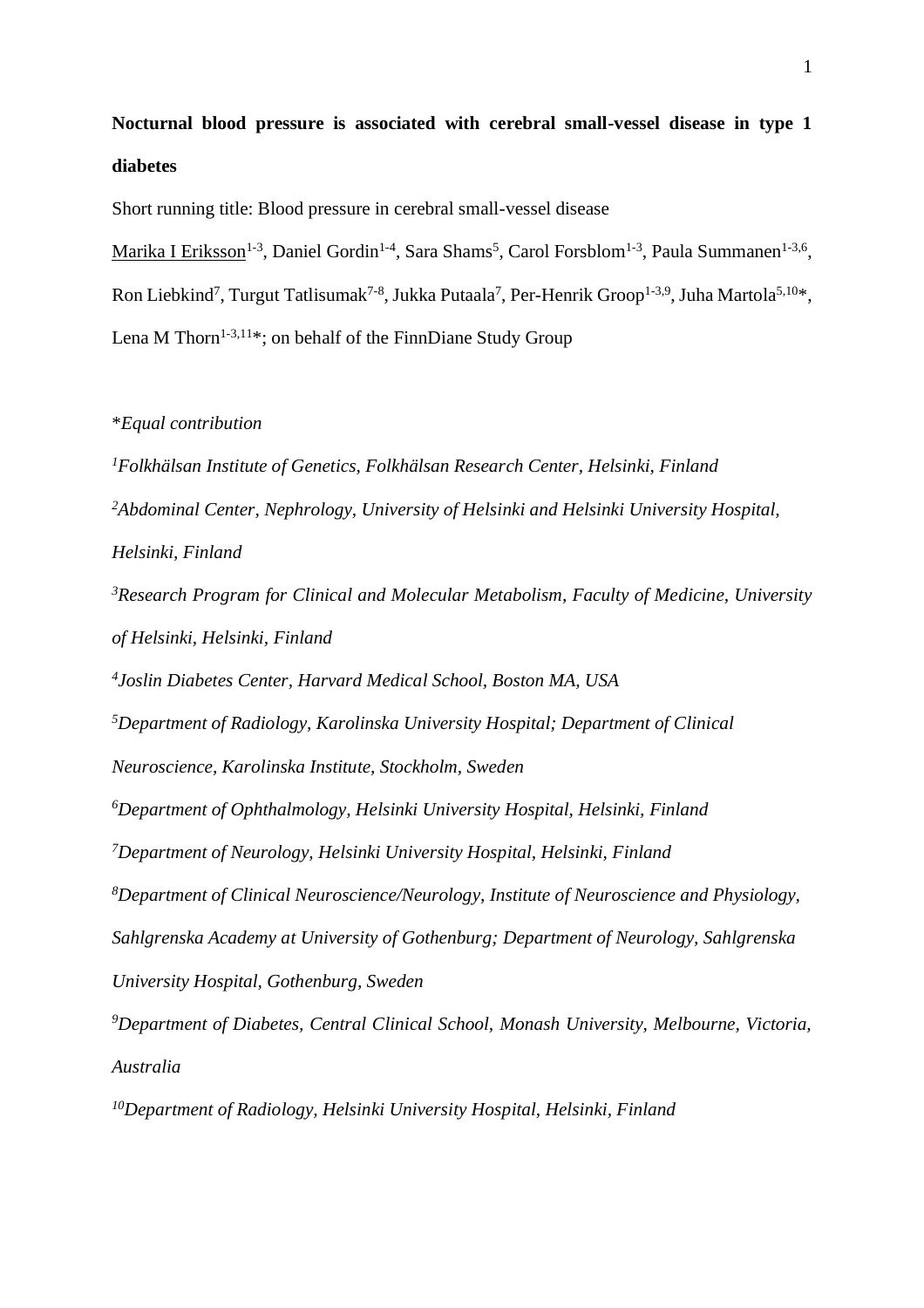**Nocturnal blood pressure is associated with cerebral small-vessel disease in type 1 diabetes**

Short running title: Blood pressure in cerebral small-vessel disease

Marika I Eriksson<sup>1-3</sup>, Daniel Gordin<sup>1-4</sup>, Sara Shams<sup>5</sup>, Carol Forsblom<sup>1-3</sup>, Paula Summanen<sup>1-3,6</sup>, Ron Liebkind<sup>7</sup>, Turgut Tatlisumak<sup>7-8</sup>, Jukka Putaala<sup>7</sup>, Per-Henrik Groop<sup>1-3,9</sup>, Juha Martola<sup>5,10\*</sup>, Lena M Thorn<sup>1-3,11\*</sup>; on behalf of the FinnDiane Study Group

#### \**Equal contribution*

*<sup>1</sup>Folkhälsan Institute of Genetics, Folkhälsan Research Center, Helsinki, Finland <sup>2</sup>Abdominal Center, Nephrology, University of Helsinki and Helsinki University Hospital, Helsinki, Finland*

*<sup>3</sup>Research Program for Clinical and Molecular Metabolism, Faculty of Medicine, University of Helsinki, Helsinki, Finland*

*4 Joslin Diabetes Center, Harvard Medical School, Boston MA, USA*

*<sup>5</sup>Department of Radiology, Karolinska University Hospital; Department of Clinical* 

*Neuroscience, Karolinska Institute, Stockholm, Sweden*

*<sup>6</sup>Department of Ophthalmology, Helsinki University Hospital, Helsinki, Finland*

*<sup>7</sup>Department of Neurology, Helsinki University Hospital, Helsinki, Finland*

*<sup>8</sup>Department of Clinical Neuroscience/Neurology, Institute of Neuroscience and Physiology, Sahlgrenska Academy at University of Gothenburg; Department of Neurology, Sahlgrenska* 

*University Hospital, Gothenburg, Sweden*

*<sup>9</sup>Department of Diabetes, Central Clinical School, Monash University, Melbourne, Victoria, Australia*

*10Department of Radiology, Helsinki University Hospital, Helsinki, Finland*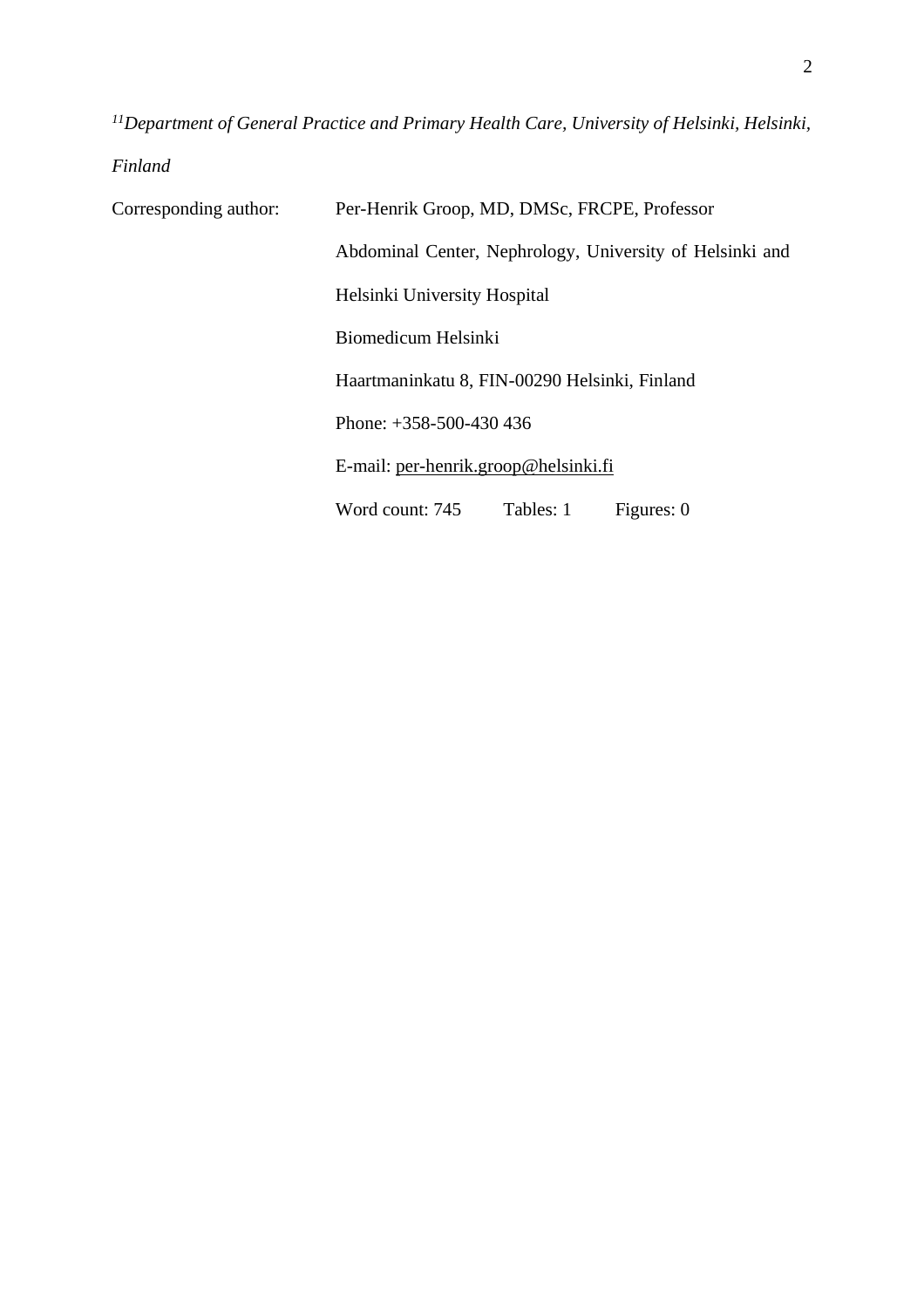*<sup>11</sup>Department of General Practice and Primary Health Care, University of Helsinki, Helsinki,* 

*Finland*

Corresponding author: Per-Henrik Groop, MD, DMSc, FRCPE, Professor Abdominal Center, Nephrology, University of Helsinki and Helsinki University Hospital Biomedicum Helsinki Haartmaninkatu 8, FIN-00290 Helsinki, Finland Phone: +358-500-430 436 E-mail: [per-henrik.groop@helsinki.fi](mailto:per-henrik.groop@helsinki.fi) Word count: 745 Tables: 1 Figures: 0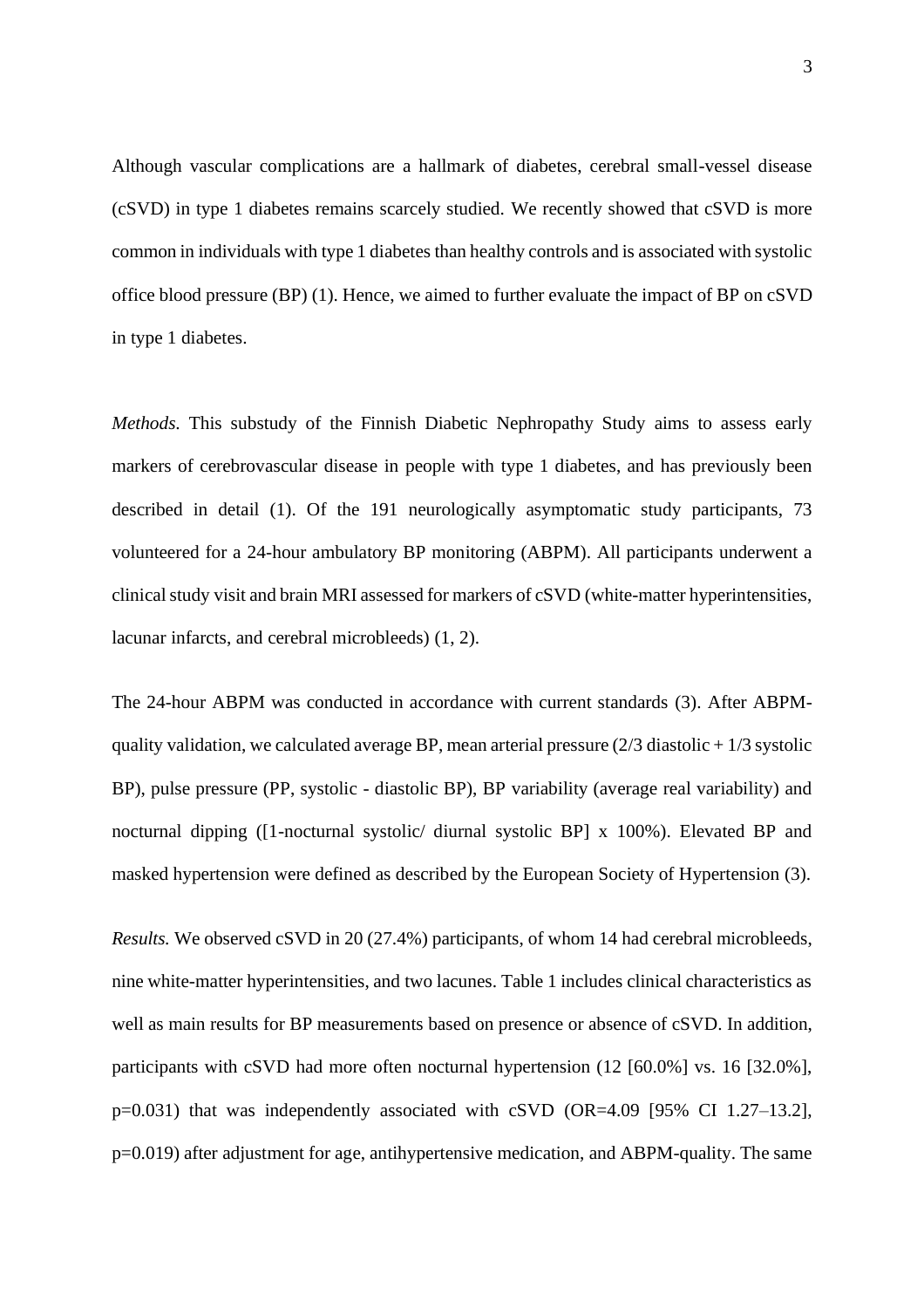Although vascular complications are a hallmark of diabetes, cerebral small-vessel disease (cSVD) in type 1 diabetes remains scarcely studied. We recently showed that cSVD is more common in individuals with type 1 diabetes than healthy controls and is associated with systolic office blood pressure (BP) (1). Hence, we aimed to further evaluate the impact of BP on cSVD in type 1 diabetes.

*Methods.* This substudy of the Finnish Diabetic Nephropathy Study aims to assess early markers of cerebrovascular disease in people with type 1 diabetes, and has previously been described in detail (1). Of the 191 neurologically asymptomatic study participants, 73 volunteered for a 24-hour ambulatory BP monitoring (ABPM). All participants underwent a clinical study visit and brain MRI assessed for markers of cSVD (white-matter hyperintensities, lacunar infarcts, and cerebral microbleeds) (1, 2).

The 24-hour ABPM was conducted in accordance with current standards (3). After ABPMquality validation, we calculated average BP, mean arterial pressure  $(2/3$  diastolic  $+1/3$  systolic BP), pulse pressure (PP, systolic - diastolic BP), BP variability (average real variability) and nocturnal dipping ([1-nocturnal systolic/ diurnal systolic BP] x 100%). Elevated BP and masked hypertension were defined as described by the European Society of Hypertension (3).

*Results.* We observed cSVD in 20 (27.4%) participants, of whom 14 had cerebral microbleeds, nine white-matter hyperintensities, and two lacunes. Table 1 includes clinical characteristics as well as main results for BP measurements based on presence or absence of cSVD. In addition, participants with cSVD had more often nocturnal hypertension (12 [60.0%] vs. 16 [32.0%], p=0.031) that was independently associated with cSVD (OR=4.09 [95% CI 1.27–13.2], p=0.019) after adjustment for age, antihypertensive medication, and ABPM-quality. The same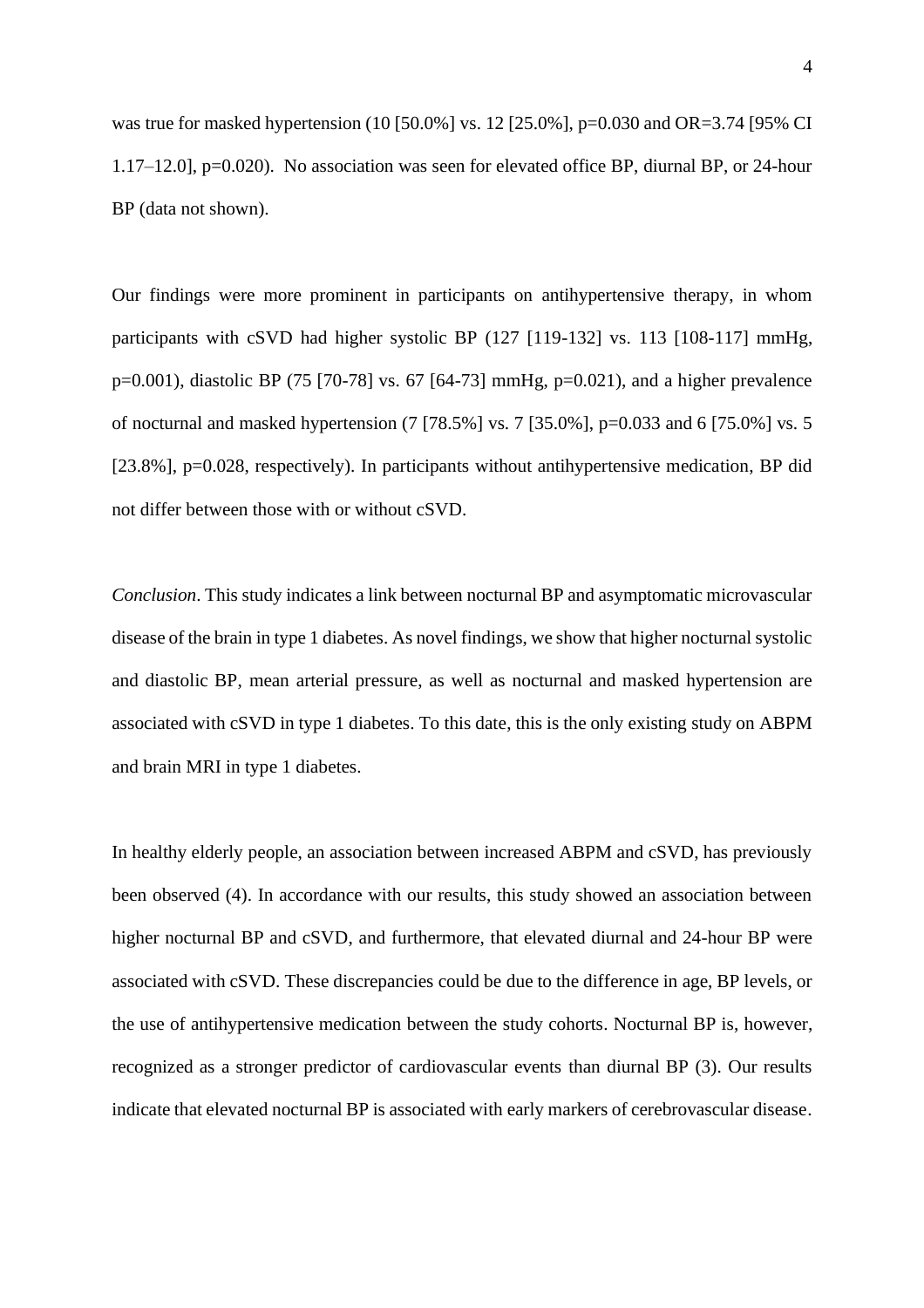was true for masked hypertension (10 [50.0%] vs. 12 [25.0%], p=0.030 and OR=3.74 [95% CI 1.17–12.0], p=0.020). No association was seen for elevated office BP, diurnal BP, or 24-hour BP (data not shown).

Our findings were more prominent in participants on antihypertensive therapy, in whom participants with cSVD had higher systolic BP (127 [119-132] vs. 113 [108-117] mmHg, p=0.001), diastolic BP (75 [70-78] vs. 67 [64-73] mmHg, p=0.021), and a higher prevalence of nocturnal and masked hypertension (7 [78.5%] vs. 7 [35.0%], p=0.033 and 6 [75.0%] vs. 5 [23.8%], p=0.028, respectively). In participants without antihypertensive medication, BP did not differ between those with or without cSVD.

*Conclusion*. This study indicates a link between nocturnal BP and asymptomatic microvascular disease of the brain in type 1 diabetes. As novel findings, we show that higher nocturnal systolic and diastolic BP, mean arterial pressure, as well as nocturnal and masked hypertension are associated with cSVD in type 1 diabetes. To this date, this is the only existing study on ABPM and brain MRI in type 1 diabetes.

In healthy elderly people, an association between increased ABPM and cSVD, has previously been observed (4). In accordance with our results, this study showed an association between higher nocturnal BP and cSVD, and furthermore, that elevated diurnal and 24-hour BP were associated with cSVD. These discrepancies could be due to the difference in age, BP levels, or the use of antihypertensive medication between the study cohorts. Nocturnal BP is, however, recognized as a stronger predictor of cardiovascular events than diurnal BP (3). Our results indicate that elevated nocturnal BP is associated with early markers of cerebrovascular disease.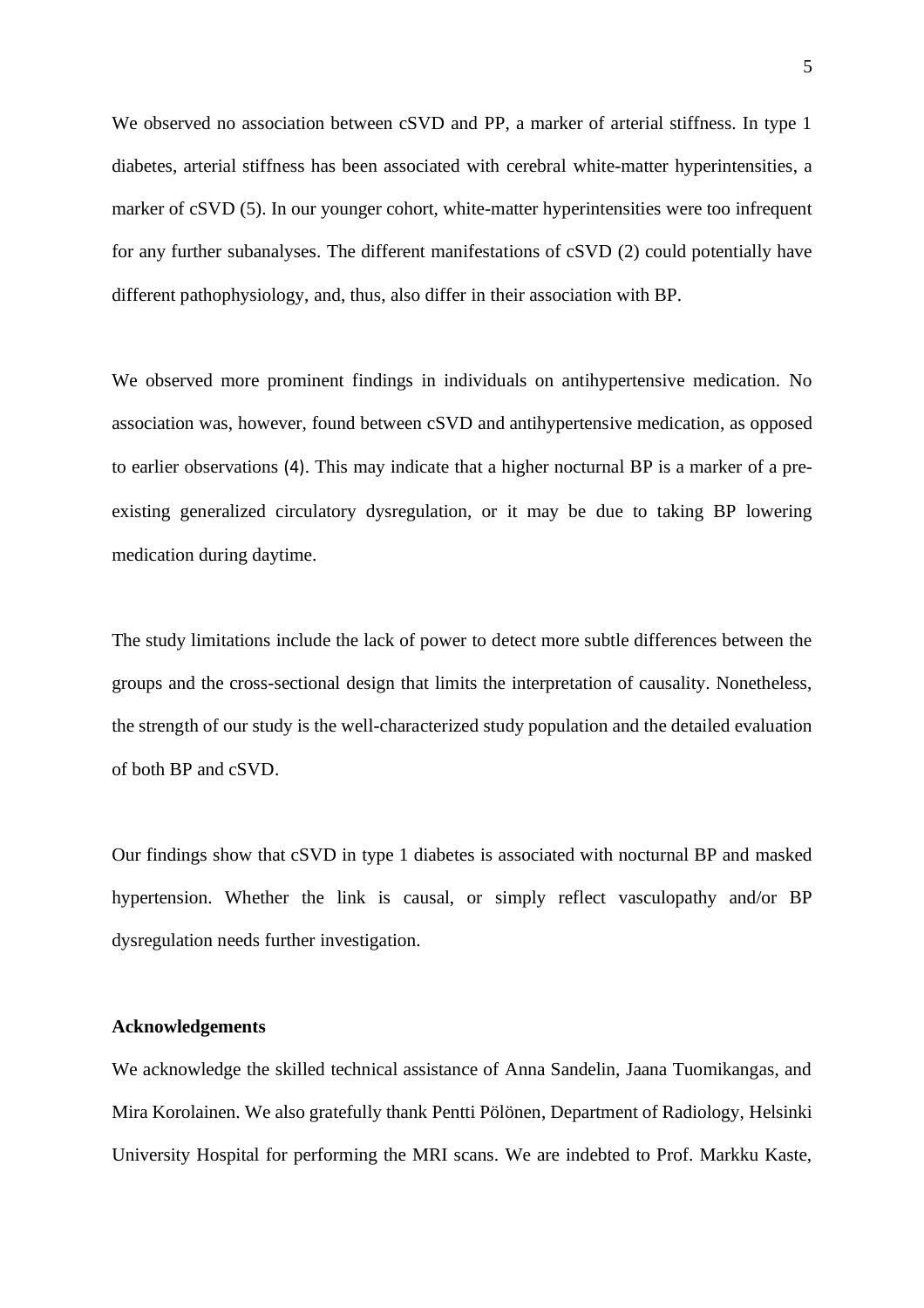We observed no association between cSVD and PP, a marker of arterial stiffness. In type 1 diabetes, arterial stiffness has been associated with cerebral white-matter hyperintensities, a marker of cSVD (5). In our younger cohort, white-matter hyperintensities were too infrequent for any further subanalyses. The different manifestations of cSVD (2) could potentially have different pathophysiology, and, thus, also differ in their association with BP.

We observed more prominent findings in individuals on antihypertensive medication. No association was, however, found between cSVD and antihypertensive medication, as opposed to earlier observations (4). This may indicate that a higher nocturnal BP is a marker of a preexisting generalized circulatory dysregulation, or it may be due to taking BP lowering medication during daytime.

The study limitations include the lack of power to detect more subtle differences between the groups and the cross-sectional design that limits the interpretation of causality. Nonetheless, the strength of our study is the well-characterized study population and the detailed evaluation of both BP and cSVD.

Our findings show that cSVD in type 1 diabetes is associated with nocturnal BP and masked hypertension. Whether the link is causal, or simply reflect vasculopathy and/or BP dysregulation needs further investigation.

#### **Acknowledgements**

We acknowledge the skilled technical assistance of Anna Sandelin, Jaana Tuomikangas, and Mira Korolainen. We also gratefully thank Pentti Pölönen, Department of Radiology, Helsinki University Hospital for performing the MRI scans. We are indebted to Prof. Markku Kaste,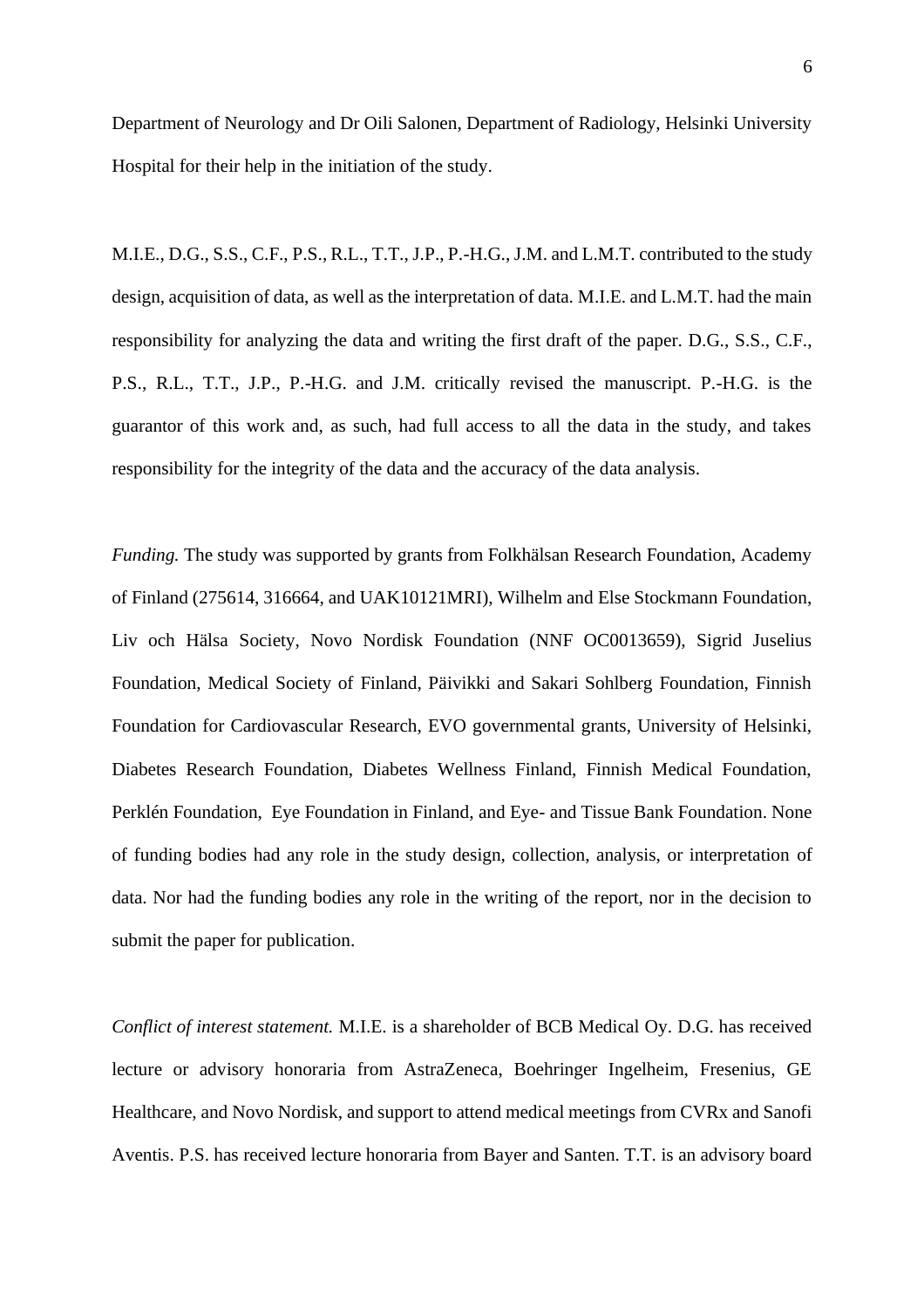Department of Neurology and Dr Oili Salonen, Department of Radiology, Helsinki University Hospital for their help in the initiation of the study.

M.I.E., D.G., S.S., C.F., P.S., R.L., T.T., J.P., P.-H.G., J.M. and L.M.T. contributed to the study design, acquisition of data, as well as the interpretation of data. M.I.E. and L.M.T. had the main responsibility for analyzing the data and writing the first draft of the paper. D.G., S.S., C.F., P.S., R.L., T.T., J.P., P.-H.G. and J.M. critically revised the manuscript. P.-H.G. is the guarantor of this work and, as such, had full access to all the data in the study, and takes responsibility for the integrity of the data and the accuracy of the data analysis.

*Funding.* The study was supported by grants from Folkhälsan Research Foundation, Academy of Finland (275614, 316664, and UAK10121MRI), Wilhelm and Else Stockmann Foundation, Liv och Hälsa Society, Novo Nordisk Foundation (NNF OC0013659), Sigrid Juselius Foundation, Medical Society of Finland, Päivikki and Sakari Sohlberg Foundation, Finnish Foundation for Cardiovascular Research, EVO governmental grants, University of Helsinki, Diabetes Research Foundation, Diabetes Wellness Finland, Finnish Medical Foundation, Perklén Foundation, Eye Foundation in Finland, and Eye- and Tissue Bank Foundation. None of funding bodies had any role in the study design, collection, analysis, or interpretation of data. Nor had the funding bodies any role in the writing of the report, nor in the decision to submit the paper for publication.

*Conflict of interest statement.* M.I.E. is a shareholder of BCB Medical Oy. D.G. has received lecture or advisory honoraria from AstraZeneca, Boehringer Ingelheim, Fresenius, GE Healthcare, and Novo Nordisk, and support to attend medical meetings from CVRx and Sanofi Aventis. P.S. has received lecture honoraria from Bayer and Santen. T.T. is an advisory board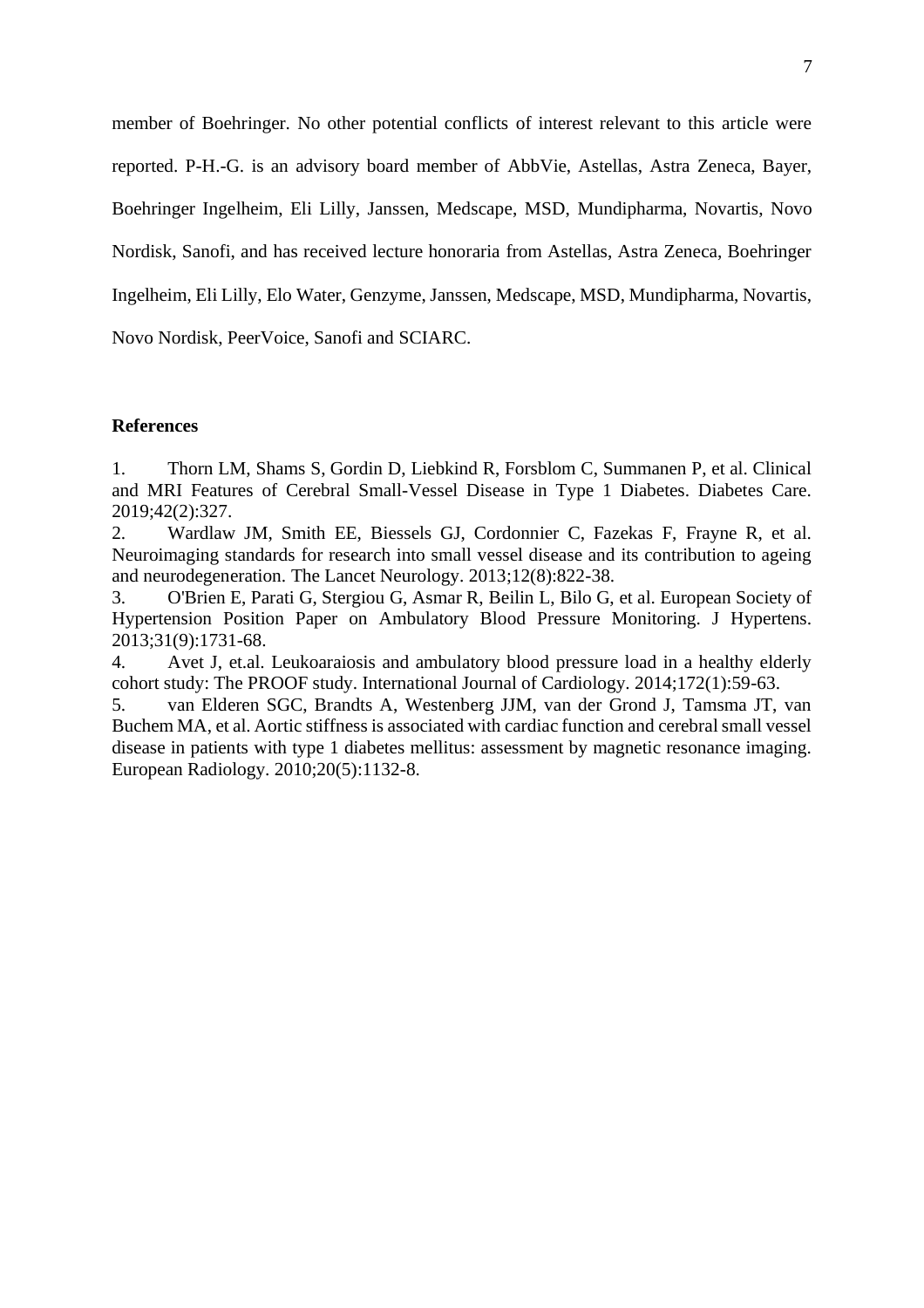member of Boehringer. No other potential conflicts of interest relevant to this article were reported. P-H.-G. is an advisory board member of AbbVie, Astellas, Astra Zeneca, Bayer, Boehringer Ingelheim, Eli Lilly, Janssen, Medscape, MSD, Mundipharma, Novartis, Novo Nordisk, Sanofi, and has received lecture honoraria from Astellas, Astra Zeneca, Boehringer Ingelheim, Eli Lilly, Elo Water, Genzyme, Janssen, Medscape, MSD, Mundipharma, Novartis, Novo Nordisk, PeerVoice, Sanofi and SCIARC.

#### **References**

1. Thorn LM, Shams S, Gordin D, Liebkind R, Forsblom C, Summanen P, et al. Clinical and MRI Features of Cerebral Small-Vessel Disease in Type 1 Diabetes. Diabetes Care. 2019;42(2):327.

2. Wardlaw JM, Smith EE, Biessels GJ, Cordonnier C, Fazekas F, Frayne R, et al. Neuroimaging standards for research into small vessel disease and its contribution to ageing and neurodegeneration. The Lancet Neurology. 2013;12(8):822-38.

3. O'Brien E, Parati G, Stergiou G, Asmar R, Beilin L, Bilo G, et al. European Society of Hypertension Position Paper on Ambulatory Blood Pressure Monitoring. J Hypertens. 2013;31(9):1731-68.

4. Avet J, et.al. Leukoaraiosis and ambulatory blood pressure load in a healthy elderly cohort study: The PROOF study. International Journal of Cardiology. 2014;172(1):59-63.

5. van Elderen SGC, Brandts A, Westenberg JJM, van der Grond J, Tamsma JT, van Buchem MA, et al. Aortic stiffness is associated with cardiac function and cerebral small vessel disease in patients with type 1 diabetes mellitus: assessment by magnetic resonance imaging. European Radiology. 2010;20(5):1132-8.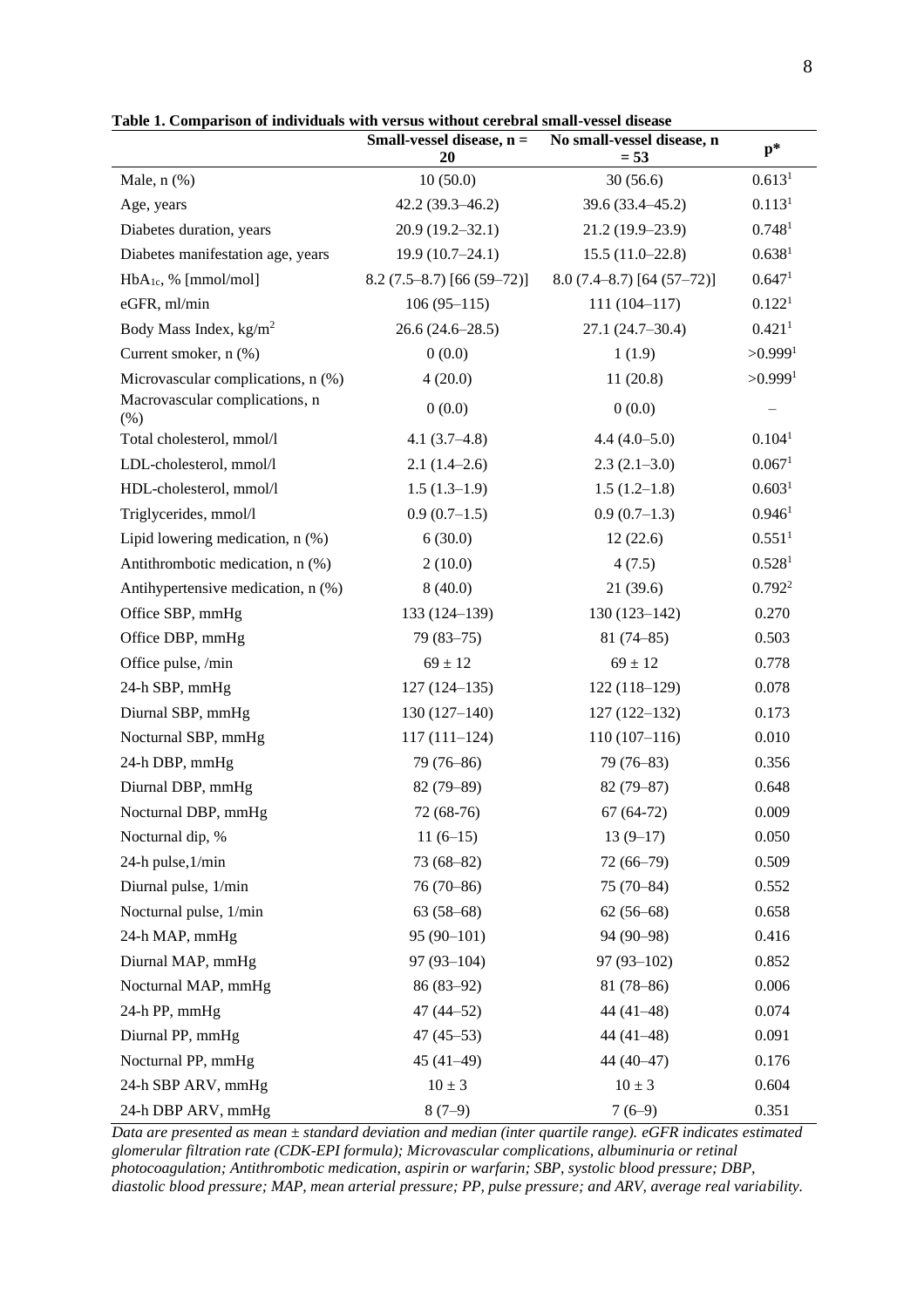|                                       | Small-vessel disease, $n =$ | No small-vessel disease, n    | $p*$               |
|---------------------------------------|-----------------------------|-------------------------------|--------------------|
|                                       | 20                          | $= 53$                        |                    |
| Male, $n$ $%$                         | 10(50.0)                    | 30(56.6)                      | 0.613 <sup>1</sup> |
| Age, years                            | $42.2(39.3 - 46.2)$         | 39.6 (33.4-45.2)              | 0.113 <sup>1</sup> |
| Diabetes duration, years              | $20.9(19.2 - 32.1)$         | 21.2 (19.9-23.9)              | 0.748 <sup>1</sup> |
| Diabetes manifestation age, years     | $19.9(10.7-24.1)$           | $15.5(11.0-22.8)$             | 0.638 <sup>1</sup> |
| $HbA_{1c}$ , % [mmol/mol]             | $8.2(7.5-8.7)[66(59-72)]$   | $8.0(7.4 - 8.7)$ [64 (57-72)] | 0.647 <sup>1</sup> |
| eGFR, ml/min                          | $106(95-115)$               | $111(104 - 117)$              | 0.122 <sup>1</sup> |
| Body Mass Index, $kg/m2$              | $26.6(24.6-28.5)$           | $27.1(24.7-30.4)$             | 0.421 <sup>1</sup> |
| Current smoker, n (%)                 | 0(0.0)                      | 1(1.9)                        | >0.9991            |
| Microvascular complications, n (%)    | 4(20.0)                     | 11(20.8)                      | >0.9991            |
| Macrovascular complications, n<br>(%) | 0(0.0)                      | 0(0.0)                        |                    |
| Total cholesterol, mmol/l             | 4.1 $(3.7-4.8)$             | $4.4(4.0-5.0)$                | 0.104 <sup>1</sup> |
| LDL-cholesterol, mmol/l               | $2.1(1.4-2.6)$              | $2.3(2.1-3.0)$                | 0.067 <sup>1</sup> |
| HDL-cholesterol, mmol/l               | $1.5(1.3-1.9)$              | $1.5(1.2-1.8)$                | 0.603 <sup>1</sup> |
| Triglycerides, mmol/l                 | $0.9(0.7-1.5)$              | $0.9(0.7-1.3)$                | 0.946 <sup>1</sup> |
| Lipid lowering medication, $n$ $%$ )  | 6(30.0)                     | 12(22.6)                      | 0.551 <sup>1</sup> |
| Antithrombotic medication, n (%)      | 2(10.0)                     | 4(7.5)                        | 0.528 <sup>1</sup> |
| Antihypertensive medication, n (%)    | 8(40.0)                     | 21(39.6)                      | 0.792 <sup>2</sup> |
| Office SBP, mmHg                      | $133(124-139)$              | $130(123-142)$                | 0.270              |
| Office DBP, mmHg                      | $79(83 - 75)$               | $81(74 - 85)$                 | 0.503              |
| Office pulse, /min                    | $69 \pm 12$                 | $69 \pm 12$                   | 0.778              |
| 24-h SBP, mmHg                        | $127(124-135)$              | $122(118-129)$                | 0.078              |
| Diurnal SBP, mmHg                     | $130(127-140)$              | $127(122 - 132)$              | 0.173              |
| Nocturnal SBP, mmHg                   | $117(111-124)$              | $110(107-116)$                | 0.010              |
| 24-h DBP, mmHg                        | 79 (76-86)                  | $79(76-83)$                   | 0.356              |
| Diurnal DBP, mmHg                     | $82(79-89)$                 | $82(79 - 87)$                 | 0.648              |
| Nocturnal DBP, mmHg                   | 72 (68-76)                  | $67(64-72)$                   | 0.009              |
| Nocturnal dip, %                      | $11(6-15)$                  | $13(9-17)$                    | 0.050              |
| 24-h pulse, 1/min                     | $73(68 - 82)$               | $72(66-79)$                   | 0.509              |
| Diurnal pulse, 1/min                  | 76 (70-86)                  | $75(70-84)$                   | 0.552              |
| Nocturnal pulse, 1/min                | $63(58-68)$                 | $62(56-68)$                   | 0.658              |
| 24-h MAP, mmHg                        | $95(90-101)$                | 94 (90-98)                    | 0.416              |
| Diurnal MAP, mmHg                     | $97(93-104)$                | $97(93-102)$                  | 0.852              |
| Nocturnal MAP, mmHg                   | $86(83-92)$                 | $81(78-86)$                   | 0.006              |
| 24-h PP, mmHg                         | $47(44-52)$                 | $44(41-48)$                   | 0.074              |
| Diurnal PP, mmHg                      | $47(45-53)$                 | $44(41-48)$                   | 0.091              |
| Nocturnal PP, mmHg                    | $45(41-49)$                 | 44 (40-47)                    | 0.176              |
| 24-h SBP ARV, mmHg                    | $10 \pm 3$                  | $10 \pm 3$                    | 0.604              |
| 24-h DBP ARV, mmHg                    | $8(7-9)$                    | $7(6-9)$                      | 0.351              |

**Table 1. Comparison of individuals with versus without cerebral small-vessel disease**

*Data are presented as mean ± standard deviation and median (inter quartile range). eGFR indicates estimated glomerular filtration rate (CDK-EPI formula); Microvascular complications, albuminuria or retinal photocoagulation; Antithrombotic medication, aspirin or warfarin; SBP, systolic blood pressure; DBP, diastolic blood pressure; MAP, mean arterial pressure; PP, pulse pressure; and ARV, average real variability.*